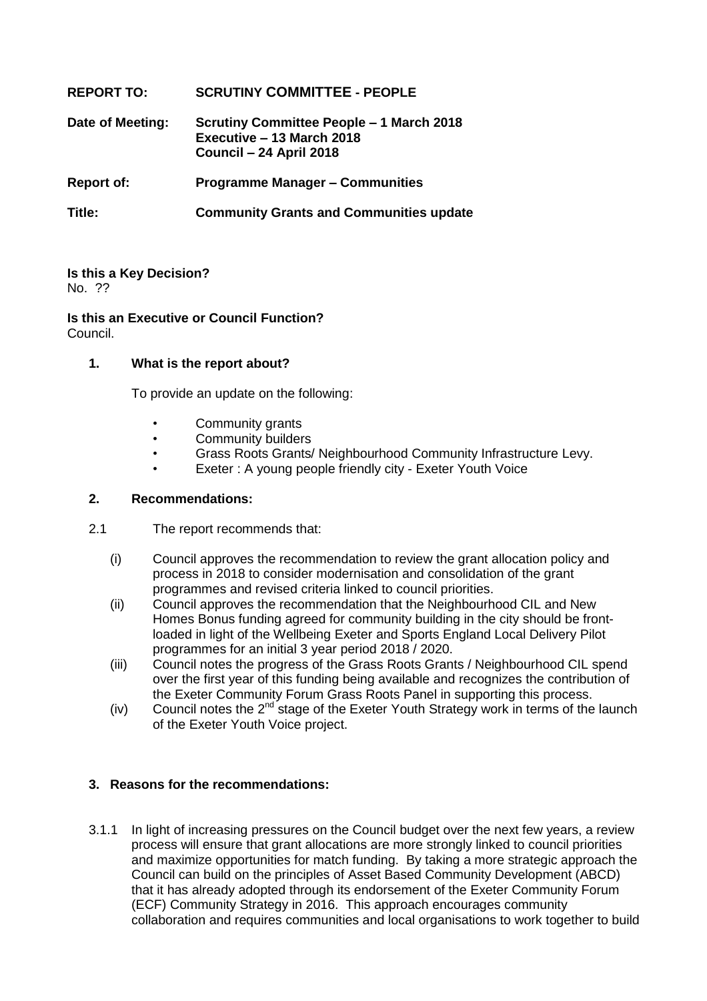# **REPORT TO: SCRUTINY COMMITTEE - PEOPLE Date of Meeting: Scrutiny Committee People – 1 March 2018 Executive – 13 March 2018 Council – 24 April 2018 Report of: Programme Manager – Communities Title: Community Grants and Communities update**

#### **Is this a Key Decision?** No. ??

**Is this an Executive or Council Function?**

Council.

# **1. What is the report about?**

To provide an update on the following:

- Community grants
- Community builders
- Grass Roots Grants/ Neighbourhood Community Infrastructure Levy.
- Exeter : A young people friendly city Exeter Youth Voice

# **2. Recommendations:**

- 2.1 The report recommends that:
	- (i) Council approves the recommendation to review the grant allocation policy and process in 2018 to consider modernisation and consolidation of the grant programmes and revised criteria linked to council priorities.
	- (ii) Council approves the recommendation that the Neighbourhood CIL and New Homes Bonus funding agreed for community building in the city should be frontloaded in light of the Wellbeing Exeter and Sports England Local Delivery Pilot programmes for an initial 3 year period 2018 / 2020.
	- (iii) Council notes the progress of the Grass Roots Grants / Neighbourhood CIL spend over the first year of this funding being available and recognizes the contribution of the Exeter Community Forum Grass Roots Panel in supporting this process.
	- (iv) Council notes the  $2^{nd}$  stage of the Exeter Youth Strategy work in terms of the launch of the Exeter Youth Voice project.

# **3. Reasons for the recommendations:**

3.1.1 In light of increasing pressures on the Council budget over the next few years, a review process will ensure that grant allocations are more strongly linked to council priorities and maximize opportunities for match funding. By taking a more strategic approach the Council can build on the principles of Asset Based Community Development (ABCD) that it has already adopted through its endorsement of the Exeter Community Forum (ECF) Community Strategy in 2016. This approach encourages community collaboration and requires communities and local organisations to work together to build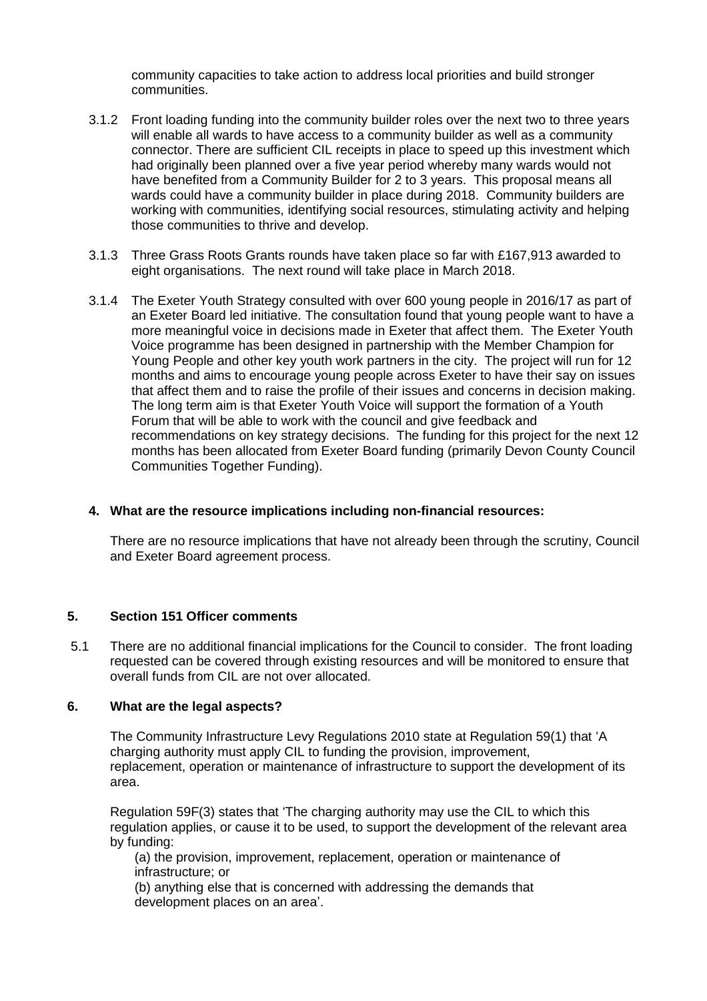community capacities to take action to address local priorities and build stronger communities.

- 3.1.2 Front loading funding into the community builder roles over the next two to three years will enable all wards to have access to a community builder as well as a community connector. There are sufficient CIL receipts in place to speed up this investment which had originally been planned over a five year period whereby many wards would not have benefited from a Community Builder for 2 to 3 years. This proposal means all wards could have a community builder in place during 2018. Community builders are working with communities, identifying social resources, stimulating activity and helping those communities to thrive and develop.
- 3.1.3 Three Grass Roots Grants rounds have taken place so far with £167,913 awarded to eight organisations. The next round will take place in March 2018.
- 3.1.4 The Exeter Youth Strategy consulted with over 600 young people in 2016/17 as part of an Exeter Board led initiative. The consultation found that young people want to have a more meaningful voice in decisions made in Exeter that affect them. The Exeter Youth Voice programme has been designed in partnership with the Member Champion for Young People and other key youth work partners in the city. The project will run for 12 months and aims to encourage young people across Exeter to have their say on issues that affect them and to raise the profile of their issues and concerns in decision making. The long term aim is that Exeter Youth Voice will support the formation of a Youth Forum that will be able to work with the council and give feedback and recommendations on key strategy decisions. The funding for this project for the next 12 months has been allocated from Exeter Board funding (primarily Devon County Council Communities Together Funding).

#### **4. What are the resource implications including non-financial resources:**

There are no resource implications that have not already been through the scrutiny, Council and Exeter Board agreement process.

#### **5. Section 151 Officer comments**

5.1 There are no additional financial implications for the Council to consider. The front loading requested can be covered through existing resources and will be monitored to ensure that overall funds from CIL are not over allocated.

#### **6. What are the legal aspects?**

The Community Infrastructure Levy Regulations 2010 state at Regulation 59(1) that 'A charging authority must apply CIL to funding the provision, improvement, replacement, operation or maintenance of infrastructure to support the development of its area.

Regulation 59F(3) states that 'The charging authority may use the CIL to which this regulation applies, or cause it to be used, to support the development of the relevant area by funding:

(a) the provision, improvement, replacement, operation or maintenance of infrastructure; or

(b) anything else that is concerned with addressing the demands that development places on an area'.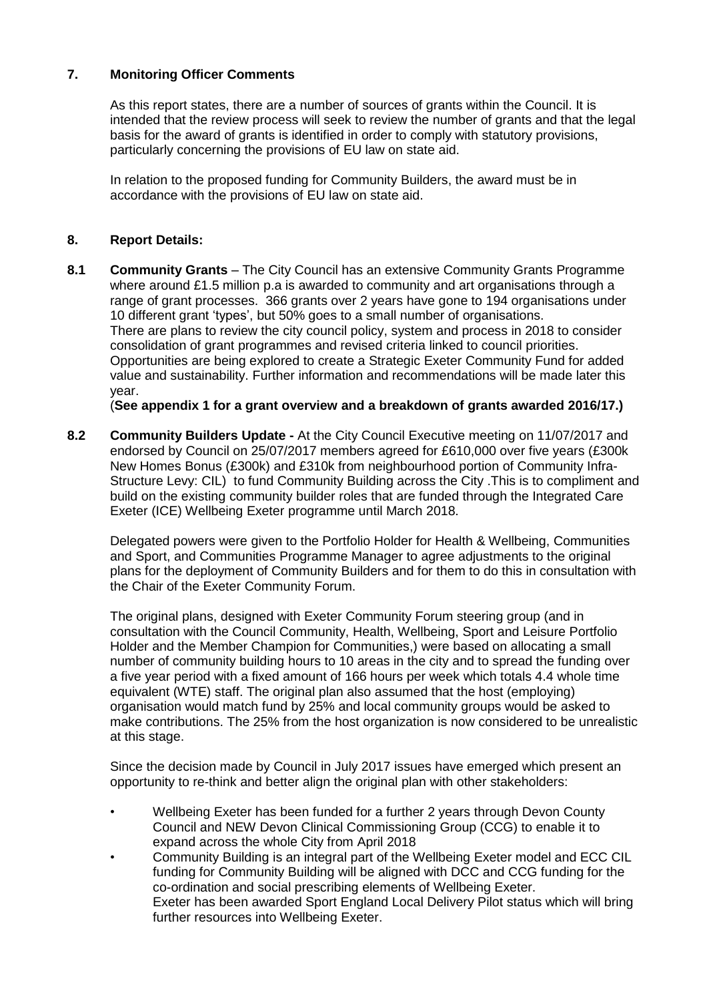## **7. Monitoring Officer Comments**

As this report states, there are a number of sources of grants within the Council. It is intended that the review process will seek to review the number of grants and that the legal basis for the award of grants is identified in order to comply with statutory provisions, particularly concerning the provisions of EU law on state aid.

In relation to the proposed funding for Community Builders, the award must be in accordance with the provisions of EU law on state aid.

## **8. Report Details:**

**8.1 Community Grants** – The City Council has an extensive Community Grants Programme where around £1.5 million p.a is awarded to community and art organisations through a range of grant processes. 366 grants over 2 years have gone to 194 organisations under 10 different grant 'types', but 50% goes to a small number of organisations. There are plans to review the city council policy, system and process in 2018 to consider consolidation of grant programmes and revised criteria linked to council priorities. Opportunities are being explored to create a Strategic Exeter Community Fund for added value and sustainability. Further information and recommendations will be made later this year.

(**See appendix 1 for a grant overview and a breakdown of grants awarded 2016/17.)**

**8.2 Community Builders Update -** At the City Council Executive meeting on 11/07/2017 and endorsed by Council on 25/07/2017 members agreed for £610,000 over five years (£300k New Homes Bonus (£300k) and £310k from neighbourhood portion of Community Infra-Structure Levy: CIL) to fund Community Building across the City .This is to compliment and build on the existing community builder roles that are funded through the Integrated Care Exeter (ICE) Wellbeing Exeter programme until March 2018.

Delegated powers were given to the Portfolio Holder for Health & Wellbeing, Communities and Sport, and Communities Programme Manager to agree adjustments to the original plans for the deployment of Community Builders and for them to do this in consultation with the Chair of the Exeter Community Forum.

The original plans, designed with Exeter Community Forum steering group (and in consultation with the Council Community, Health, Wellbeing, Sport and Leisure Portfolio Holder and the Member Champion for Communities,) were based on allocating a small number of community building hours to 10 areas in the city and to spread the funding over a five year period with a fixed amount of 166 hours per week which totals 4.4 whole time equivalent (WTE) staff. The original plan also assumed that the host (employing) organisation would match fund by 25% and local community groups would be asked to make contributions. The 25% from the host organization is now considered to be unrealistic at this stage.

Since the decision made by Council in July 2017 issues have emerged which present an opportunity to re-think and better align the original plan with other stakeholders:

- Wellbeing Exeter has been funded for a further 2 years through Devon County Council and NEW Devon Clinical Commissioning Group (CCG) to enable it to expand across the whole City from April 2018
- Community Building is an integral part of the Wellbeing Exeter model and ECC CIL funding for Community Building will be aligned with DCC and CCG funding for the co-ordination and social prescribing elements of Wellbeing Exeter. Exeter has been awarded Sport England Local Delivery Pilot status which will bring further resources into Wellbeing Exeter.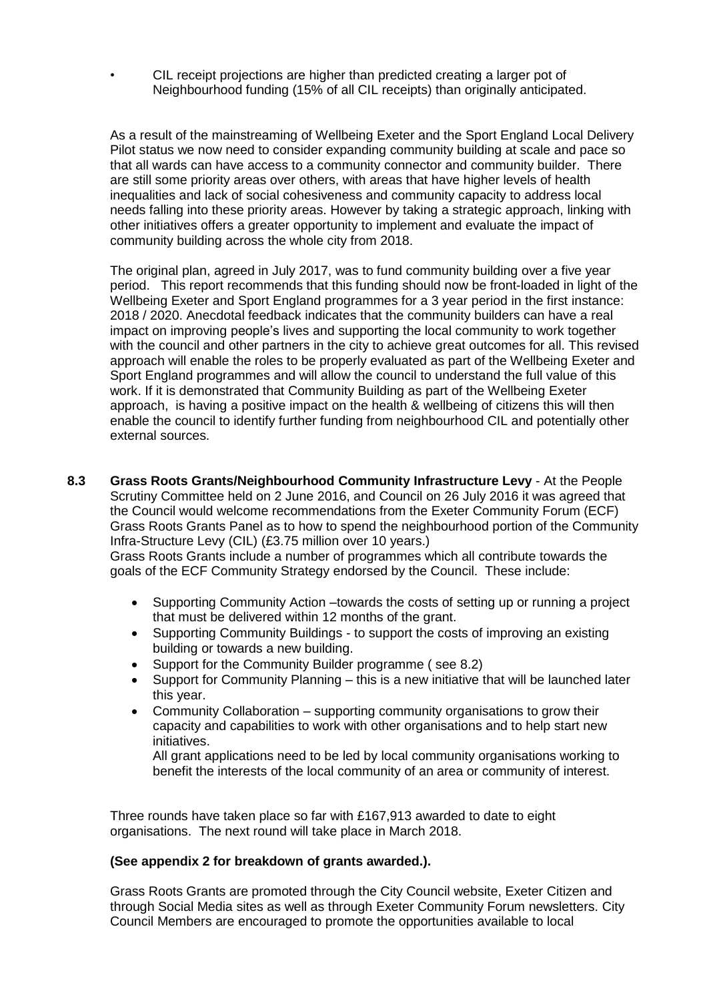• CIL receipt projections are higher than predicted creating a larger pot of Neighbourhood funding (15% of all CIL receipts) than originally anticipated.

As a result of the mainstreaming of Wellbeing Exeter and the Sport England Local Delivery Pilot status we now need to consider expanding community building at scale and pace so that all wards can have access to a community connector and community builder. There are still some priority areas over others, with areas that have higher levels of health inequalities and lack of social cohesiveness and community capacity to address local needs falling into these priority areas. However by taking a strategic approach, linking with other initiatives offers a greater opportunity to implement and evaluate the impact of community building across the whole city from 2018.

The original plan, agreed in July 2017, was to fund community building over a five year period. This report recommends that this funding should now be front-loaded in light of the Wellbeing Exeter and Sport England programmes for a 3 year period in the first instance: 2018 / 2020. Anecdotal feedback indicates that the community builders can have a real impact on improving people's lives and supporting the local community to work together with the council and other partners in the city to achieve great outcomes for all. This revised approach will enable the roles to be properly evaluated as part of the Wellbeing Exeter and Sport England programmes and will allow the council to understand the full value of this work. If it is demonstrated that Community Building as part of the Wellbeing Exeter approach, is having a positive impact on the health & wellbeing of citizens this will then enable the council to identify further funding from neighbourhood CIL and potentially other external sources.

- **8.3 Grass Roots Grants/Neighbourhood Community Infrastructure Levy** At the People Scrutiny Committee held on 2 June 2016, and Council on 26 July 2016 it was agreed that the Council would welcome recommendations from the Exeter Community Forum (ECF) Grass Roots Grants Panel as to how to spend the neighbourhood portion of the Community Infra-Structure Levy (CIL) (£3.75 million over 10 years.) Grass Roots Grants include a number of programmes which all contribute towards the goals of the ECF Community Strategy endorsed by the Council. These include:
	- Supporting Community Action –towards the costs of setting up or running a project that must be delivered within 12 months of the grant.
	- Supporting Community Buildings to support the costs of improving an existing building or towards a new building.
	- Support for the Community Builder programme ( see 8.2)
	- Support for Community Planning this is a new initiative that will be launched later this year.
	- Community Collaboration supporting community organisations to grow their capacity and capabilities to work with other organisations and to help start new initiatives.

All grant applications need to be led by local community organisations working to benefit the interests of the local community of an area or community of interest.

Three rounds have taken place so far with £167,913 awarded to date to eight organisations. The next round will take place in March 2018.

#### **(See appendix 2 for breakdown of grants awarded.).**

Grass Roots Grants are promoted through the City Council website, Exeter Citizen and through Social Media sites as well as through Exeter Community Forum newsletters. City Council Members are encouraged to promote the opportunities available to local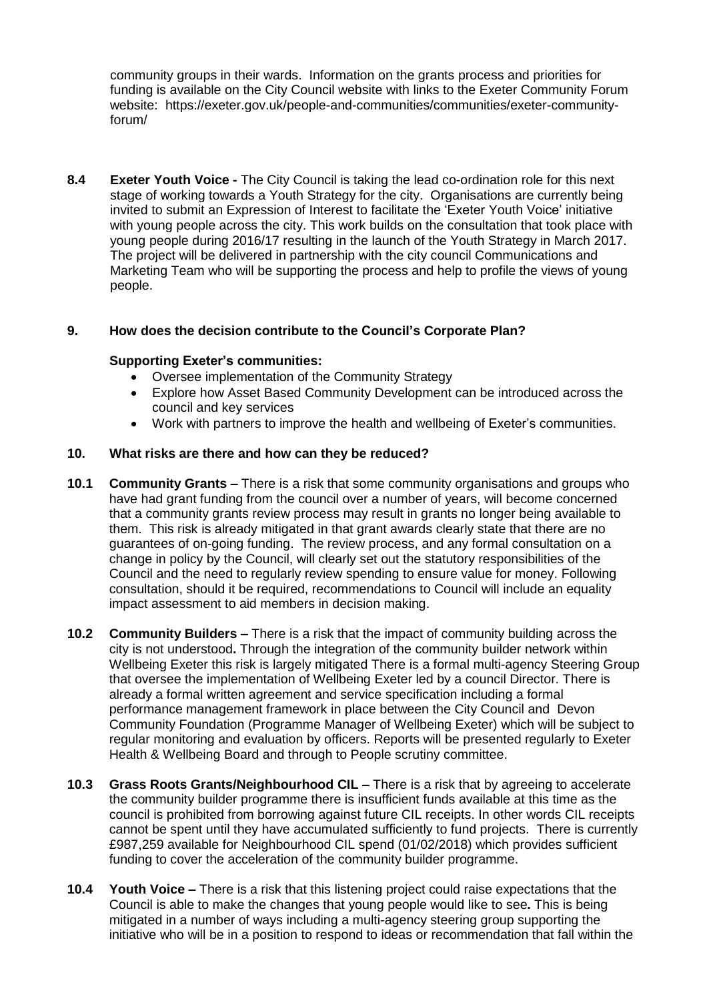community groups in their wards. Information on the grants process and priorities for funding is available on the City Council website with links to the Exeter Community Forum website: https://exeter.gov.uk/people-and-communities/communities/exeter-communityforum/

**8.4 Exeter Youth Voice -** The City Council is taking the lead co-ordination role for this next stage of working towards a Youth Strategy for the city. Organisations are currently being invited to submit an Expression of Interest to facilitate the 'Exeter Youth Voice' initiative with young people across the city. This work builds on the consultation that took place with young people during 2016/17 resulting in the launch of the Youth Strategy in March 2017. The project will be delivered in partnership with the city council Communications and Marketing Team who will be supporting the process and help to profile the views of young people.

# **9. How does the decision contribute to the Council's Corporate Plan?**

#### **Supporting Exeter's communities:**

- Oversee implementation of the Community Strategy
- Explore how Asset Based Community Development can be introduced across the council and key services
- Work with partners to improve the health and wellbeing of Exeter's communities.

## **10. What risks are there and how can they be reduced?**

- **10.1 Community Grants –** There is a risk that some community organisations and groups who have had grant funding from the council over a number of years, will become concerned that a community grants review process may result in grants no longer being available to them. This risk is already mitigated in that grant awards clearly state that there are no guarantees of on-going funding. The review process, and any formal consultation on a change in policy by the Council, will clearly set out the statutory responsibilities of the Council and the need to regularly review spending to ensure value for money. Following consultation, should it be required, recommendations to Council will include an equality impact assessment to aid members in decision making.
- **10.2 Community Builders –** There is a risk that the impact of community building across the city is not understood**.** Through the integration of the community builder network within Wellbeing Exeter this risk is largely mitigated There is a formal multi-agency Steering Group that oversee the implementation of Wellbeing Exeter led by a council Director. There is already a formal written agreement and service specification including a formal performance management framework in place between the City Council and Devon Community Foundation (Programme Manager of Wellbeing Exeter) which will be subject to regular monitoring and evaluation by officers. Reports will be presented regularly to Exeter Health & Wellbeing Board and through to People scrutiny committee.
- **10.3 Grass Roots Grants/Neighbourhood CIL –** There is a risk that by agreeing to accelerate the community builder programme there is insufficient funds available at this time as the council is prohibited from borrowing against future CIL receipts. In other words CIL receipts cannot be spent until they have accumulated sufficiently to fund projects. There is currently £987,259 available for Neighbourhood CIL spend (01/02/2018) which provides sufficient funding to cover the acceleration of the community builder programme.
- **10.4 Youth Voice –** There is a risk that this listening project could raise expectations that the Council is able to make the changes that young people would like to see**.** This is being mitigated in a number of ways including a multi-agency steering group supporting the initiative who will be in a position to respond to ideas or recommendation that fall within the